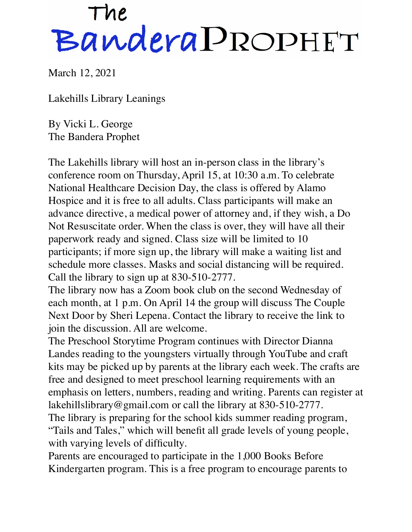## The<br>Bandera PROPHET

March 12, 2021

Lakehills Library Leanings

By Vicki L. George The Bandera Prophet

The Lakehills library will host an in-person class in the library's conference room on Thursday, April 15, at 10:30 a.m. To celebrate National Healthcare Decision Day, the class is offered by Alamo Hospice and it is free to all adults. Class participants will make an advance directive, a medical power of attorney and, if they wish, a Do Not Resuscitate order. When the class is over, they will have all their paperwork ready and signed. Class size will be limited to 10 participants; if more sign up, the library will make a waiting list and schedule more classes. Masks and social distancing will be required. Call the library to sign up at 830-510-2777.

The library now has a Zoom book club on the second Wednesday of each month, at 1 p.m. On April 14 the group will discuss The Couple Next Door by Sheri Lepena. Contact the library to receive the link to join the discussion. All are welcome.

The Preschool Storytime Program continues with Director Dianna Landes reading to the youngsters virtually through YouTube and craft kits may be picked up by parents at the library each week. The crafts are free and designed to meet preschool learning requirements with an emphasis on letters, numbers, reading and writing. Parents can register at [lakehillslibrary@gmail.com](mailto:lakehillslibrary@gmail.com) or call the library at 830-510-2777. The library is preparing for the school kids summer reading program, "Tails and Tales," which will benefit all grade levels of young people,

with varying levels of difficulty.

Parents are encouraged to participate in the 1,000 Books Before Kindergarten program. This is a free program to encourage parents to